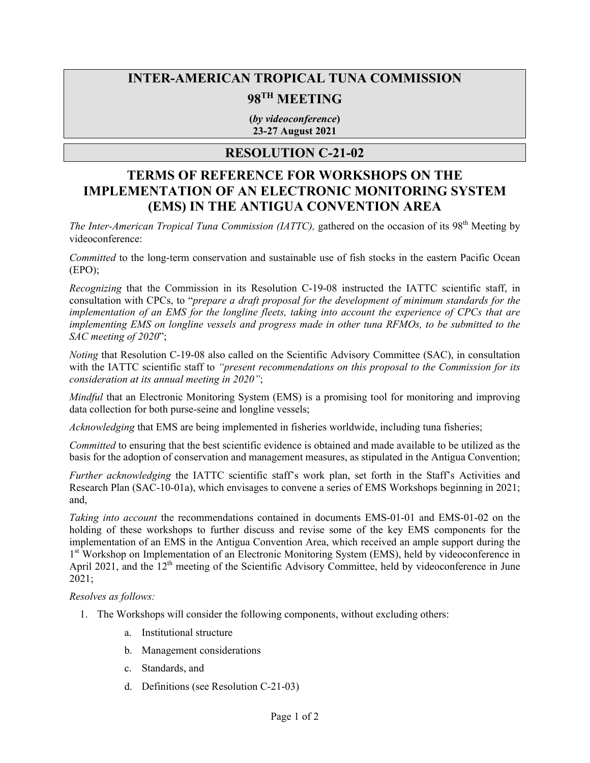# **INTER-AMERICAN TROPICAL TUNA COMMISSION**

# **98TH MEETING**

**(***by videoconference***) 23-27 August 2021**

### **RESOLUTION C-21-02**

## **TERMS OF REFERENCE FOR WORKSHOPS ON THE IMPLEMENTATION OF AN ELECTRONIC MONITORING SYSTEM (EMS) IN THE ANTIGUA CONVENTION AREA**

*The Inter-American Tropical Tuna Commission (IATTC)*, gathered on the occasion of its 98<sup>th</sup> Meeting by videoconference:

*Committed* to the long-term conservation and sustainable use of fish stocks in the eastern Pacific Ocean (EPO);

*Recognizing* that the Commission in its Resolution C-19-08 instructed the IATTC scientific staff, in consultation with CPCs, to "*prepare a draft proposal for the development of minimum standards for the implementation of an EMS for the longline fleets, taking into account the experience of CPCs that are implementing EMS on longline vessels and progress made in other tuna RFMOs, to be submitted to the SAC meeting of 2020*";

*Noting* that Resolution C-19-08 also called on the Scientific Advisory Committee (SAC), in consultation with the IATTC scientific staff to *"present recommendations on this proposal to the Commission for its consideration at its annual meeting in 2020"*;

*Mindful* that an Electronic Monitoring System (EMS) is a promising tool for monitoring and improving data collection for both purse-seine and longline vessels;

*Acknowledging* that EMS are being implemented in fisheries worldwide, including tuna fisheries;

*Committed* to ensuring that the best scientific evidence is obtained and made available to be utilized as the basis for the adoption of conservation and management measures, as stipulated in the Antigua Convention;

*Further acknowledging* the IATTC scientific staff's work plan, set forth in the Staff's Activities and Research Plan (SAC-10-01a), which envisages to convene a series of EMS Workshops beginning in 2021; and,

*Taking into account* the recommendations contained in documents EMS-01-01 and EMS-01-02 on the holding of these workshops to further discuss and revise some of the key EMS components for the implementation of an EMS in the Antigua Convention Area, which received an ample support during the 1st Workshop on Implementation of an Electronic Monitoring System (EMS), held by videoconference in April 2021, and the  $12<sup>th</sup>$  meeting of the Scientific Advisory Committee, held by videoconference in June 2021;

#### *Resolves as follows:*

- 1. The Workshops will consider the following components, without excluding others:
	- a. Institutional structure
	- b. Management considerations
	- c. Standards, and
	- d. Definitions (see Resolution C-21-03)